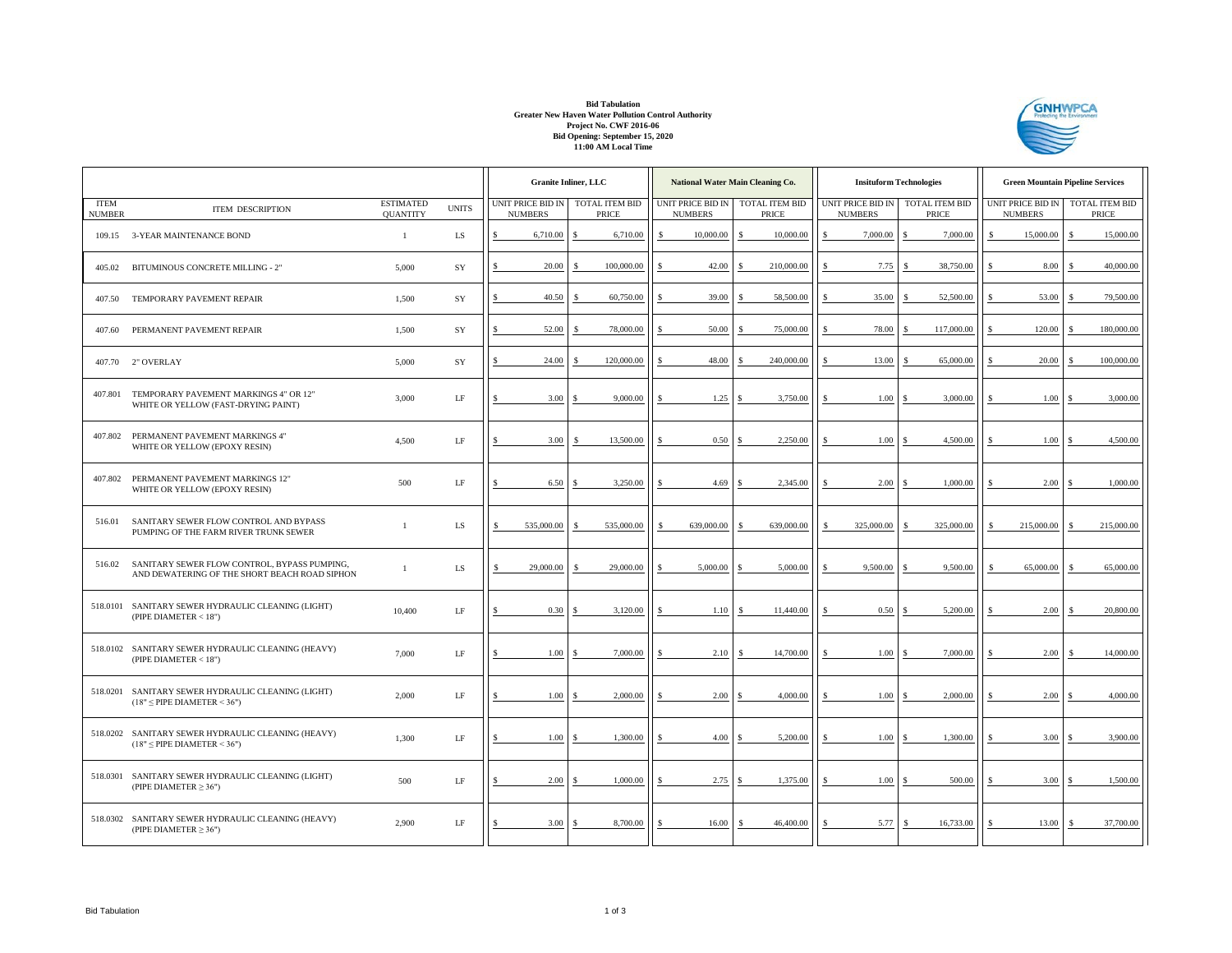## **Bid Tabulation Greater New Haven Water Pollution Control Authority Project No. CWF 2016-06 Bid Opening: September 15, 2020 11:00 AM Local Time**



|                              |                                                                                               |                                     |              | <b>Granite Inliner, LLC</b>                        |  |            |    | National Water Main Cleaning Co.    |               |                                |     | <b>Insituform Technologies</b>      |                                |            | <b>Green Mountain Pipeline Services</b> |     |                         |  |
|------------------------------|-----------------------------------------------------------------------------------------------|-------------------------------------|--------------|----------------------------------------------------|--|------------|----|-------------------------------------|---------------|--------------------------------|-----|-------------------------------------|--------------------------------|------------|-----------------------------------------|-----|-------------------------|--|
| <b>ITEM</b><br><b>NUMBER</b> | <b>ITEM DESCRIPTION</b>                                                                       | <b>ESTIMATED</b><br><b>QUANTITY</b> | <b>UNITS</b> | UNIT PRICE BID IN TOTAL ITEM BID<br><b>NUMBERS</b> |  | PRICE      |    | UNIT PRICE BID IN<br><b>NUMBERS</b> |               | <b>TOTAL ITEM BID</b><br>PRICE |     | UNIT PRICE BID IN<br><b>NUMBERS</b> | TOTAL ITEM BID<br><b>PRICE</b> |            | UNIT PRICE BID IN<br><b>NUMBERS</b>     |     | TOTAL ITEM BID<br>PRICE |  |
| 109.15                       | 3-YEAR MAINTENANCE BOND                                                                       | $\mathbf{1}$                        | ${\rm LS}$   | 6,710.00<br>Ŝ                                      |  | 6,710.00   | \$ | 10,000.00                           | S             | 10,000.00                      | \$  | 7,000.00                            |                                | 7,000.00   | 15,000.00                               | \$. | 15,000.00               |  |
| 405.02                       | BITUMINOUS CONCRETE MILLING - 2"                                                              | 5,000                               | SY           | 20.00<br>S                                         |  | 100,000.00 | \$ | 42.00                               | $\mathcal{S}$ | 210,000.00                     | \$  | 7.75                                |                                | 38,750.00  | 8.00                                    |     | 40,000.00               |  |
| 407.50                       | TEMPORARY PAVEMENT REPAIR                                                                     | 1,500                               | SY           | 40.50<br>s                                         |  | 60,750.00  |    | 39.00                               |               | 58,500.00                      |     | 35.00                               |                                | 52,500.00  | 53.00                                   |     | 79,500.00               |  |
| 407.60                       | PERMANENT PAVEMENT REPAIR                                                                     | 1.500                               | SY           | 52.00                                              |  | 78,000,00  |    | 50.00                               |               | 75,000.00                      | \$  | 78.00                               |                                | 117,000.00 | 120.00                                  |     | 180,000,00              |  |
|                              | 407.70 2" OVERLAY                                                                             | 5,000                               | SY           | 24.00<br>Ŝ                                         |  | 120,000.00 |    | 48.00                               |               | 240,000.00                     | Ś   | 13.00                               |                                | 65,000.00  | 20.00                                   |     | 100,000.00              |  |
| 407.801                      | TEMPORARY PAVEMENT MARKINGS 4" OR 12"<br>WHITE OR YELLOW (FAST-DRYING PAINT)                  | 3,000                               | $\rm LF$     | 3.00                                               |  | 9,000,00   |    | 1.25                                |               | 3,750.00                       | \$  | 1.00                                |                                | 3,000.00   | 1.00                                    |     | 3,000.00                |  |
| 407.802                      | PERMANENT PAVEMENT MARKINGS 4"<br>WHITE OR YELLOW (EPOXY RESIN)                               | 4,500                               | LF           | 3.00                                               |  | 13,500.00  |    | 0.50                                |               | 2.250.00                       |     | 1.00                                |                                | 4,500.00   | 1.00                                    |     | 4,500.00                |  |
| 407.802                      | PERMANENT PAVEMENT MARKINGS 12"<br>WHITE OR YELLOW (EPOXY RESIN)                              | 500                                 | $\rm LF$     | 6.50                                               |  | 3,250.00   |    | 4.69                                |               | 2.345.00                       |     | 2.00                                |                                | 1,000.00   | 2.00                                    |     | 1,000.00                |  |
| 516.01                       | SANITARY SEWER FLOW CONTROL AND BYPASS<br>PUMPING OF THE FARM RIVER TRUNK SEWER               | $\mathbf{1}$                        | LS           | 535,000.00<br>S.                                   |  | 535,000.00 | S  | 639,000.00                          |               | 639,000.00                     | \$  | 325,000.00                          |                                | 325,000.00 | 215,000.00                              |     | 215,000.00              |  |
| 516.02                       | SANITARY SEWER FLOW CONTROL, BYPASS PUMPING,<br>AND DEWATERING OF THE SHORT BEACH ROAD SIPHON | $\mathbf{1}$                        | LS           | 29,000.00<br>£.                                    |  | 29,000.00  |    | 5,000.00                            |               | 5,000.00                       |     | 9,500.00                            |                                | 9,500.00   | 65,000.00                               |     | 65,000.00               |  |
|                              | 518.0101 SANITARY SEWER HYDRAULIC CLEANING (LIGHT)<br>(PIPE DIAMETER < 18")                   | 10,400                              | LF           | 0.30                                               |  | 3,120.00   |    | 1.10                                | <b>S</b>      | 11,440.00                      | \$. | 0.50                                |                                | 5,200.00   | 2.00                                    |     | 20,800.00               |  |
|                              | 518.0102 SANITARY SEWER HYDRAULIC CLEANING (HEAVY)<br>(PIPE DIAMETER $<$ 18")                 | 7,000                               | LF           | 1.00<br>S                                          |  | 7,000.00   | S  | 2.10                                |               | 14,700.00                      | Ŝ   | 1.00                                |                                | 7,000.00   | 2.00                                    |     | 14,000.00               |  |
|                              | 518.0201 SANITARY SEWER HYDRAULIC CLEANING (LIGHT)<br>$(18" \leq$ PIPE DIAMETER < 36")        | 2,000                               | LF           | 1.00                                               |  | 2,000,00   |    | 2.00                                |               | 4,000.00                       |     | 1.00                                |                                | 2,000.00   | 2.00                                    |     | 4,000.00                |  |
|                              | 518.0202 SANITARY SEWER HYDRAULIC CLEANING (HEAVY)<br>$(18" \leq$ PIPE DIAMETER < 36")        | 1,300                               | LF           | 1.00                                               |  | 1,300.00   |    | 4.00                                |               | 5,200.00                       |     | 1.00                                |                                | 1,300.00   | 3.00                                    |     | 3,900.00                |  |
|                              | 518.0301 SANITARY SEWER HYDRAULIC CLEANING (LIGHT)<br>(PIPE DIAMETER $\geq$ 36")              | 500                                 | $\rm LF$     | 2.00                                               |  | 1,000.00   |    | 2.75                                |               | 1,375.00                       |     | 1.00                                |                                | 500.00     | 3.00                                    |     | 1,500.00                |  |
|                              | 518.0302 SANITARY SEWER HYDRAULIC CLEANING (HEAVY)<br>(PIPE DIAMETER $\geq$ 36")              | 2,900                               | LF           | 3.00                                               |  | 8,700.00   | \$ | 16.00                               |               | 46,400.00                      | \$  | 5.77                                |                                | 16,733.00  | 13.00                                   |     | 37,700.00               |  |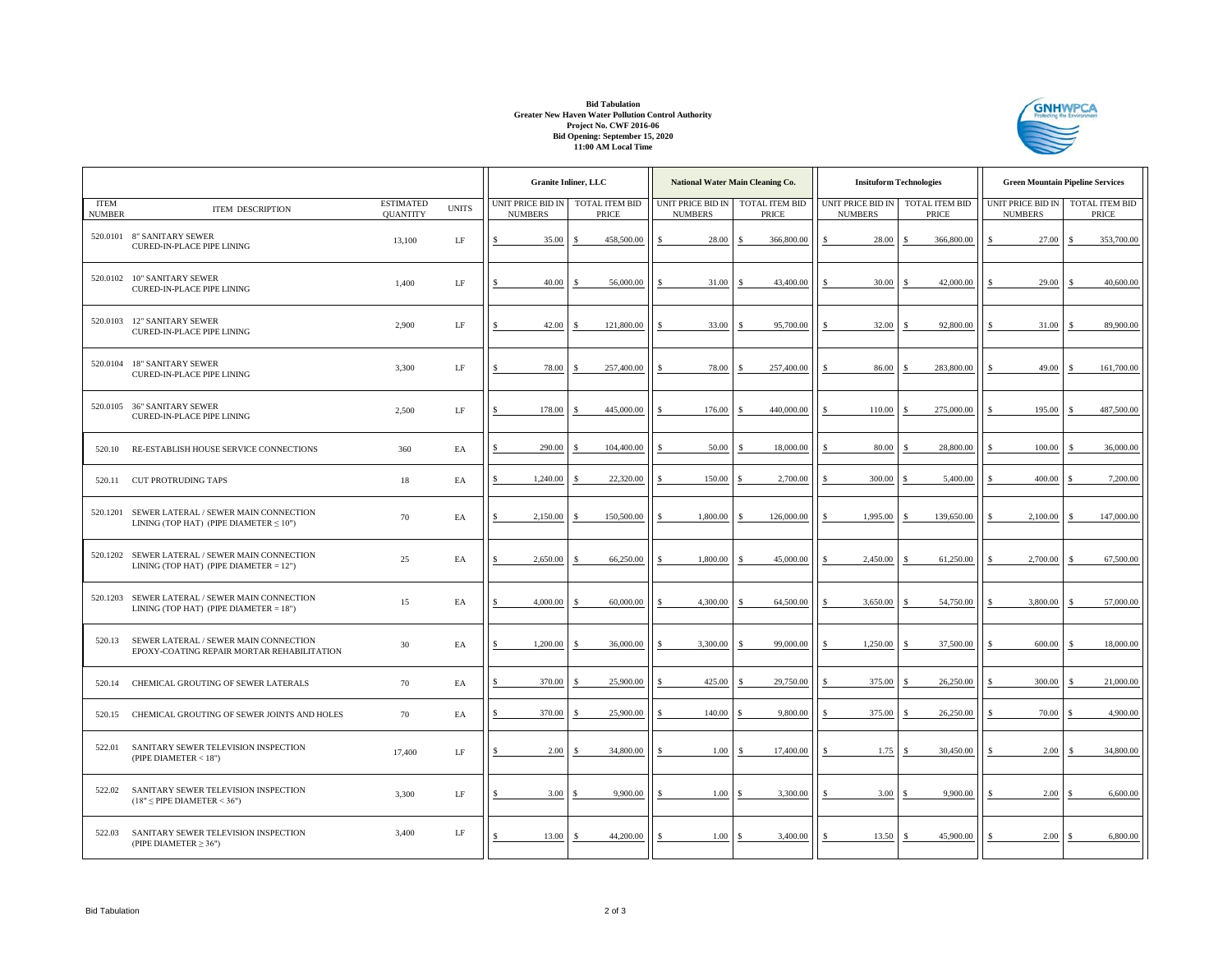## **Bid Tabulation Greater New Haven Water Pollution Control Authority Project No. CWF 2016-06 Bid Opening: September 15, 2020 11:00 AM Local Time**



|                              |                                                                                                |                                     |              | <b>Granite Inliner, LLC</b>                        |  |            |     |                                     | National Water Main Cleaning Co. | <b>Insituform Technologies</b>      |                                       |            | <b>Green Mountain Pipeline Services</b>            |   |            |
|------------------------------|------------------------------------------------------------------------------------------------|-------------------------------------|--------------|----------------------------------------------------|--|------------|-----|-------------------------------------|----------------------------------|-------------------------------------|---------------------------------------|------------|----------------------------------------------------|---|------------|
| <b>ITEM</b><br><b>NUMBER</b> | <b>ITEM DESCRIPTION</b>                                                                        | <b>ESTIMATED</b><br><b>QUANTITY</b> | <b>UNITS</b> | UNIT PRICE BID IN TOTAL ITEM BID<br><b>NUMBERS</b> |  | PRICE      |     | UNIT PRICE BID IN<br><b>NUMBERS</b> | <b>TOTAL ITEM BID</b><br>PRICE   | UNIT PRICE BID IN<br><b>NUMBERS</b> | <b>TOTAL ITEM BID</b><br><b>PRICE</b> |            | UNIT PRICE BID IN TOTAL ITEM BID<br><b>NUMBERS</b> |   | PRICE      |
|                              | 520.0101 8" SANITARY SEWER<br><b>CURED-IN-PLACE PIPE LINING</b>                                | 13,100                              | LF           | 35.00                                              |  | 458,500.00 |     | 28.00                               | 366,800.00                       | 28.00                               |                                       | 366,800.00 | 27.00                                              |   | 353,700.00 |
|                              | 520.0102 10" SANITARY SEWER<br><b>CURED-IN-PLACE PIPE LINING</b>                               | 1,400                               | $\rm LF$     | 40.00<br>S                                         |  | 56,000.00  | \$. | 31.00                               | 43,400.00                        | 30.00<br>Ś.                         |                                       | 42,000.00  | 29.00                                              |   | 40,600.00  |
|                              | 520.0103 12" SANITARY SEWER<br><b>CURED-IN-PLACE PIPE LINING</b>                               | 2,900                               | LF           | 42.00<br>S                                         |  | 121,800.00 |     | 33.00                               | 95,700.00                        | 32.00<br>\$                         |                                       | 92,800.00  | 31.00                                              |   | 89,900.00  |
|                              | 520.0104 18" SANITARY SEWER<br><b>CURED-IN-PLACE PIPE LINING</b>                               | 3,300                               | $\rm LF$     | 78.00<br>S                                         |  | 257,400.00 | \$. | 78.00                               | 257,400.00                       | \$<br>86.00                         |                                       | 283,800.00 | 49.00                                              | S | 161,700.00 |
|                              | 520.0105 36" SANITARY SEWER<br><b>CURED-IN-PLACE PIPE LINING</b>                               | 2,500                               | LF           | 178.00<br>Ś                                        |  | 445,000.00 |     | 176.00                              | 440,000.00                       | 110.00                              |                                       | 275,000.00 | 195.00                                             |   | 487,500.00 |
| 520.10                       | RE-ESTABLISH HOUSE SERVICE CONNECTIONS                                                         | 360                                 | EA           | 290.00<br>\$                                       |  | 104,400.00 |     | 50.00                               | 18,000.00                        | 80.00                               |                                       | 28,800.00  | 100.00                                             |   | 36,000.00  |
| 520.11                       | <b>CUT PROTRUDING TAPS</b>                                                                     | 18                                  | EA           | 1,240.00                                           |  | 22,320.00  |     | 150.00                              | 2,700.00                         | Ś<br>300.00                         |                                       | 5,400.00   | 400.00                                             |   | 7,200.00   |
|                              | 520.1201 SEWER LATERAL / SEWER MAIN CONNECTION<br>LINING (TOP HAT) (PIPE DIAMETER $\leq 10"$ ) | 70                                  | EA           | 2,150.00<br>Ś                                      |  | 150,500.00 |     | 1,800.00                            | 126,000.00                       | $\mathbf{\hat{S}}$<br>1,995.00      |                                       | 139,650.00 | 2,100.00                                           |   | 147,000.00 |
|                              | 520.1202 SEWER LATERAL / SEWER MAIN CONNECTION<br>LINING (TOP HAT) (PIPE DIAMETER = 12")       | $25\,$                              | EA           | 2,650.00                                           |  | 66,250.00  |     | 1,800.00                            | 45,000.00                        | 2,450.00<br>\$                      |                                       | 61,250.00  | 2,700.00                                           |   | 67,500.00  |
|                              | 520.1203 SEWER LATERAL / SEWER MAIN CONNECTION<br>LINING (TOP HAT) (PIPE DIAMETER = 18")       | 15                                  | EA           | 4,000.00                                           |  | 60,000.00  |     | 4,300.00                            | 64,500.00                        | 3,650.00                            |                                       | 54,750.00  | 3,800.00                                           |   | 57,000.00  |
| 520.13                       | SEWER LATERAL / SEWER MAIN CONNECTION<br>EPOXY-COATING REPAIR MORTAR REHABILITATION            | 30                                  | EA           | 1,200.00<br>Ś                                      |  | 36,000.00  | \$. | 3,300,00                            | 99,000.00                        | 1.250.00<br>\$.                     |                                       | 37,500.00  | 600.00                                             |   | 18,000.00  |
| 520.14                       | CHEMICAL GROUTING OF SEWER LATERALS                                                            | 70                                  | EA           | 370.00<br>s                                        |  | 25,900.00  |     | 425.00                              | 29,750.00                        | 375.00<br>\$                        |                                       | 26,250.00  | 300.00                                             |   | 21,000.00  |
| 520.15                       | CHEMICAL GROUTING OF SEWER JOINTS AND HOLES                                                    | 70                                  | EA           | 370.00<br>Ś                                        |  | 25,900.00  |     | 140.00                              | 9,800.00                         | 375.00                              |                                       | 26,250.00  | 70.00                                              |   | 4.900.00   |
| 522.01                       | SANITARY SEWER TELEVISION INSPECTION<br>(PIPE DIAMETER < 18")                                  | 17,400                              | $\rm LF$     | 2.00                                               |  | 34,800.00  |     | 1.00                                | 17,400.00                        | 1.75                                |                                       | 30,450.00  | 2.00                                               |   | 34,800.00  |
| 522.02                       | SANITARY SEWER TELEVISION INSPECTION<br>$(18" \leq$ PIPE DIAMETER < 36")                       | 3,300                               | LF           | 3.00                                               |  | 9,900.00   |     | 1.00                                | 3,300.00                         | 3.00                                |                                       | 9,900.00   | 2.00                                               |   | 6,600.00   |
| 522.03                       | SANITARY SEWER TELEVISION INSPECTION<br>(PIPE DIAMETER $\geq$ 36")                             | 3,400                               | LF           | 13.00                                              |  | 44,200.00  | \$  | 1.00                                | 3,400.00                         | 13.50<br>\$                         |                                       | 45,900.00  | 2.00                                               |   | 6,800.00   |